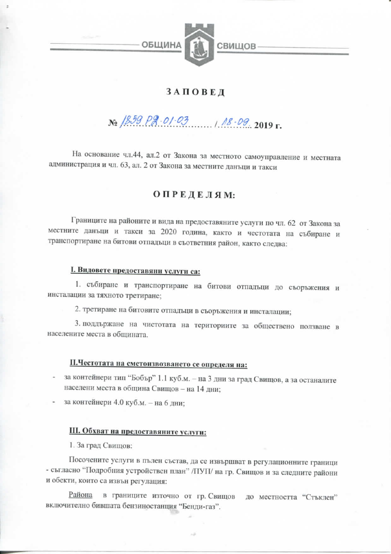

## ЗАПОВЕД

# No 1859 Pg. 01.03 18.09 2019 r.

На основание чл.44, ал.2 от Закона за местното самоуправление и местната администрация и чл. 63, ал. 2 от Закона за местните данъци и такси

### ОПРЕДЕЛЯМ:

Границите на районите и вида на предоставяните услуги по чл. 62 от Закона за местните данъци и такси за 2020 година, както и честотата на събиране и транспортиране на битови отпадъци в съответния район, както следва:

#### I. Видовете предоставяни услуги са:

1. събиране и транспортиране на битови отпадъци до съоръжения и инсталации за тяхното третиране;

2. третиране на битовите отпадъци в съоръжения и инсталации;

3. поддържане на чистотата на териториите за обществено ползване в населените места в общината.

## П.Честотата на сметоизвозването се определя на:

за контейнери тип "Бобър" 1.1 куб.м. - на 3 дни за град Свищов, а за останалите населени места в община Свищов - на 14 дни:

за контейнери 4.0 куб.м. - на 6 дни;

### III. Обхват на предоставяните услуги:

1. За град Свищов:

Посочените услуги в пълен състав, да се извършват в регулационните граници - съгласно "Подробния устройствен план" /ПУП/ на гр. Свищов и за следните райони и обекти, които са извън регулация:

Района в границите източно от гр. Свищов до местността "Стъклен" включително бившата бензиностанция "Бенди-газ".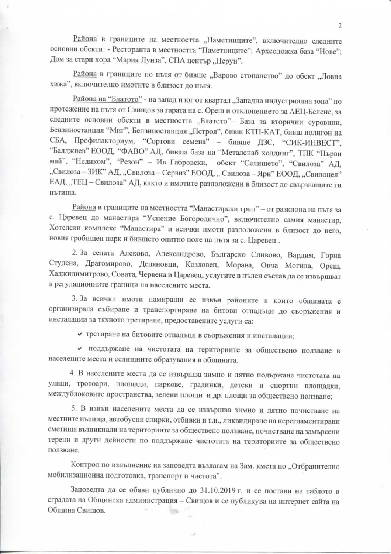Района в границите на местността "Паметниците", включително следните основни обекти: - Ресторанта в местността "Паметниците"; Археоложка база "Нове"; Дом за стари хора "Мария Луиза", СПА център "Перун".

Района в границите по пътя от бивше "Варово стопанство" до обект "Ловна хижа", включително имотите в близост до пътя.

Района на "Блатото" - на запад и юг от квартал "Западна индустриална зона" по протежение на пътя от Свищов за гарата на с. Ореш и отклонението за АЕЦ-Белене, за следните основни обекти в местността "Блатото"- База за вторични суровини, Бензиностанция "Миг", Бензиностанция "Петрол", бивш КТП-КАТ, бивш полигон на СБА, Профилакториум, "Сортови семена" - бивше ДЗС, "СИК-ИНВЕСТ", "Балджиев" ЕООД, "ФАВО" АД, бивша база на "Металснаб холдинг", ТПК "Първи май", "Недиком", "Резон" - Ив. Габровски, обект "Селището", "Свилоза" АД, "Свилоза - ЗИК" АД, "Свилоза - Сервиз" ЕООД, "Свилоза - Ярн" ЕООД, "Свилоцел" ЕАД, "ТЕЦ - Свилоза" АД, както и имотите разположени в близост до свързващите ги пътиша.

Района в границите на местността "Манастирски трап" - от разклона на пътя за с. Царевец до манастира "Успение Богородично", включително самия манастир, Хотелски комплекс "Манастира" и всички имоти разположени в близост до него, новия гробищен парк и бившето опитно поле на пътя за с. Царевец.

2. За селата Алеково, Александрово, Българско Сливово, Вардим, Горна Студена, Драгомирово, Деляновци, Козловец, Морава, Овча Могила, Ореш, Хаджидимитрово, Совата, Червена и Царевец, услугите в пълен състав да се извършват в регулационните граници на населените места.

3. За всички имоти намиращи се извън районите в които общината е организирала събиране и транспортиране на битови отпадъци до съоръжения и инсталации за тяхното третиране, предоставените услуги са:

• третиране на битовите отпадъци в съоръжения и инсталации;

• поддържане на чистотата на териториите за обществено ползване в населените места и селищните образувания в общината.

4. В населените места да се извършва зимно и лятно подържане чистотата на улици, тротоари, площади, паркове, градинки, детски и спортни площадки, междублоковите пространства, зелени площи и др. площи за обществено ползване;

5. В извън населените места да се извършва зимно и лятно почистване на местните пътища, автобусни спирки, отбивки и т.н., ликвидиране на нерегламентирани сметища възникнали на териториите за обществено ползване, почистване на замърсени терени и други дейности по поддържане чистотата на териториите за обществено ползване.

Контрол по изпълнение на заповедта възлагам на Зам. кмета по "Отбранително мобилизационна подготовка, транспорт и чистота".

Заповедта да се обяви публично до 31.10.2019 г. и се постави на таблото в сградата на Общинска администрация - Свищов и се публикува на интернет сайта на Обшина Свищов. **STOLE**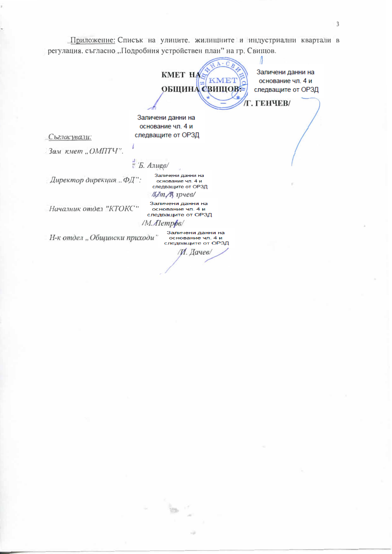Приложение: Списък на улиците. жилищните и индустриални квартали в регулация, съгласно "Подробния устройствен план" на гр. Свищов.

**KMET HA KMET ОБЩИНА СВИЩОВ:** Г. ГЕНЧЕВ/

Заличени данни на основание чл. 4 и следващите от ОРЗД

Л

Заличени данни на основание чл. 4 и следващите от ОРЗД

Съгласували:

Зам кмет "ОМПТЧ".

 $E$  *E. Anues* 

Директор дирекция ... ФД":

Началник отдел "КТОКС"

Заличени данни на основание чл. 4 и следващите от ОРЗД /М. Петров/

Заличени данни на

основание чл. 4 и следващите от ОРЗД  $Mm$  R  $npue$ 

Н-к отдел "Общински приходи"

Заличени данни на основание чл. 4 и следващите от ОРЗД /И. Дачев/

 $\overline{3}$